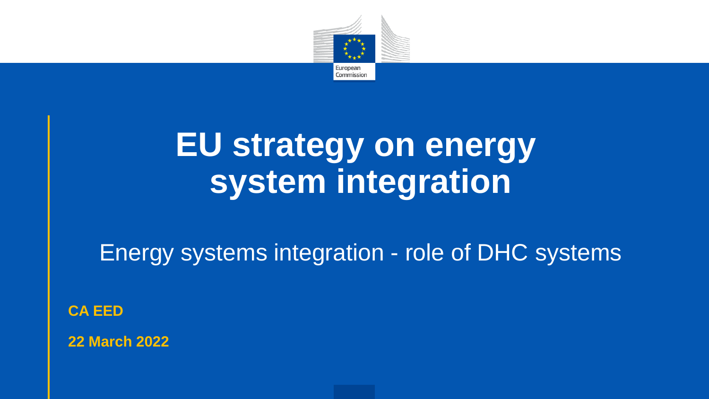

## **EU strategy on energy system integration**

Energy systems integration - role of DHC systems

**CA EED**

**22 March 2022**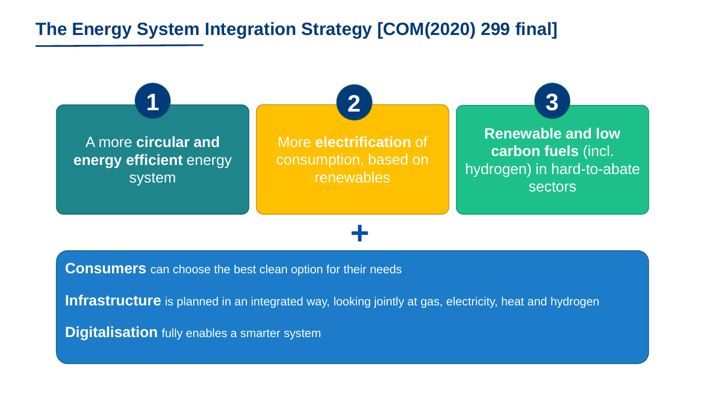#### **The Energy System Integration Strategy [COM(2020) 299 final]**



**+**

**Consumers** can choose the best clean option for their needs

**Infrastructure** is planned in an integrated way, looking jointly at gas, electricity, heat and hydrogen

**Digitalisation** fully enables a smarter system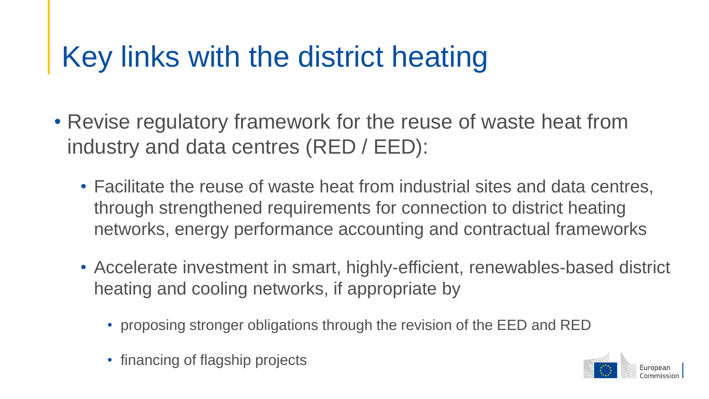### Key links with the district heating

- Revise regulatory framework for the reuse of waste heat from industry and data centres (RED / EED):
	- Facilitate the reuse of waste heat from industrial sites and data centres, through strengthened requirements for connection to district heating networks, energy performance accounting and contractual frameworks
	- Accelerate investment in smart, highly-efficient, renewables-based district heating and cooling networks, if appropriate by
		- proposing stronger obligations through the revision of the EED and RED
		- financing of flagship projects

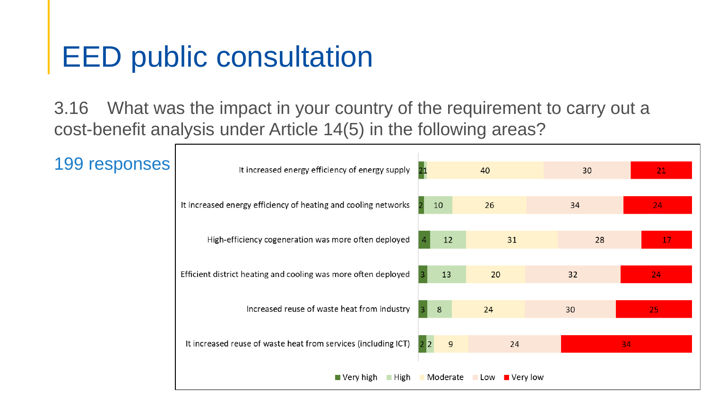#### EED public consultation

3.16 What was the impact in your country of the requirement to carry out a cost-benefit analysis under Article 14(5) in the following areas?

| 199 responses | It increased energy efficiency of energy supply                | 40       |                                | 30 | 21 |
|---------------|----------------------------------------------------------------|----------|--------------------------------|----|----|
|               |                                                                |          |                                |    |    |
|               | It increased energy efficiency of heating and cooling networks | 10       | 26                             | 34 | 24 |
|               | High-efficiency cogeneration was more often deployed           | 31<br>12 |                                | 28 | 17 |
|               | Efficient district heating and cooling was more often deployed | 13       | 20                             | 32 | 24 |
|               |                                                                |          |                                |    |    |
|               | Increased reuse of waste heat from industry                    | 8        | 24                             | 30 | 25 |
|               | It increased reuse of waste heat from services (including ICT) | 9        | 24                             |    | 34 |
|               | $\blacksquare$ High<br>$\blacksquare$ Very high                | Moderate | $\blacksquare$ Very low<br>Low |    |    |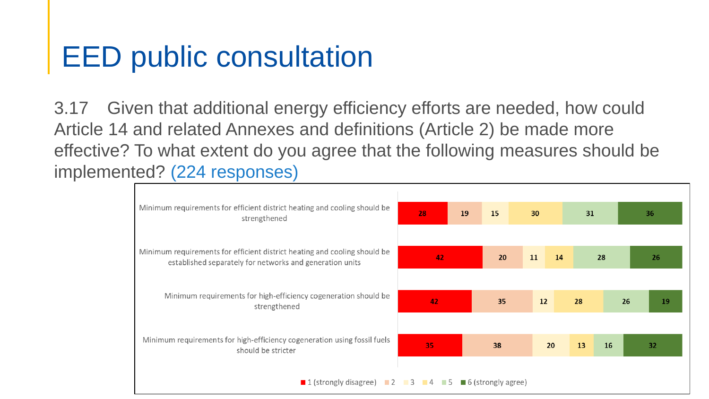#### EED public consultation

3.17 Given that additional energy efficiency efforts are needed, how could Article 14 and related Annexes and definitions (Article 2) be made more effective? To what extent do you agree that the following measures should be implemented? (224 responses)

| Minimum requirements for efficient district heating and cooling should be<br>strengthened                                             | 19<br>28 |  | 15 | 30 |    | 31 |    | 36 |    |
|---------------------------------------------------------------------------------------------------------------------------------------|----------|--|----|----|----|----|----|----|----|
| Minimum requirements for efficient district heating and cooling should be<br>established separately for networks and generation units | 42       |  | 20 | 11 | 14 | 28 |    | 26 |    |
| Minimum requirements for high-efficiency cogeneration should be<br>strengthened                                                       | 42       |  | 35 | 12 |    | 28 |    | 26 | 19 |
| Minimum requirements for high-efficiency cogeneration using fossil fuels<br>should be stricter                                        | 35       |  | 38 |    | 20 | 13 | 16 |    | 32 |
| <b>1</b> (strongly disagree) <b>12 13 14 15 16</b> (strongly agree)                                                                   |          |  |    |    |    |    |    |    |    |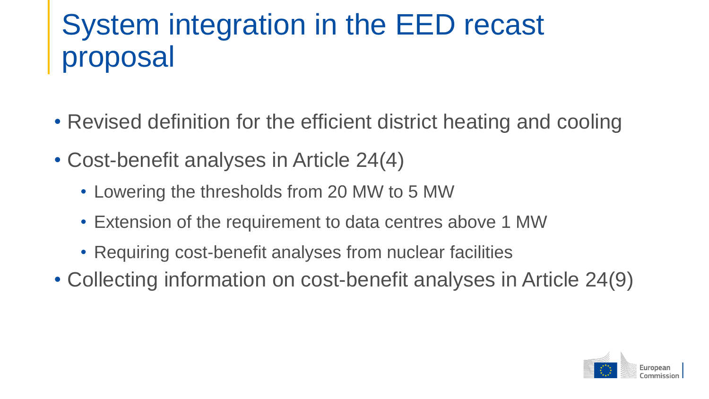### System integration in the EED recast proposal

- Revised definition for the efficient district heating and cooling
- Cost-benefit analyses in Article 24(4)
	- Lowering the thresholds from 20 MW to 5 MW
	- Extension of the requirement to data centres above 1 MW
	- Requiring cost-benefit analyses from nuclear facilities
- Collecting information on cost-benefit analyses in Article 24(9)

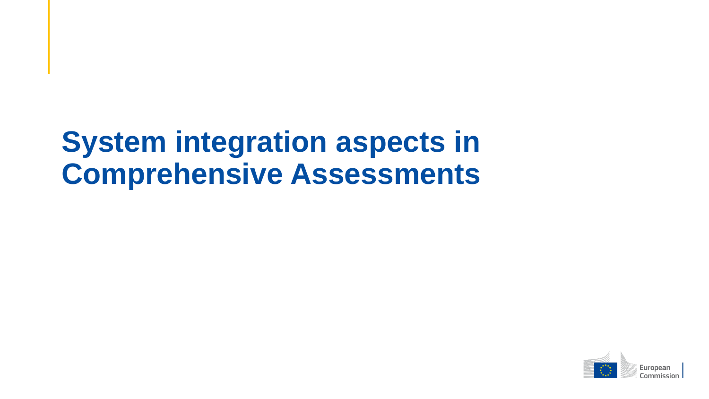#### **System integration aspects in Comprehensive Assessments**

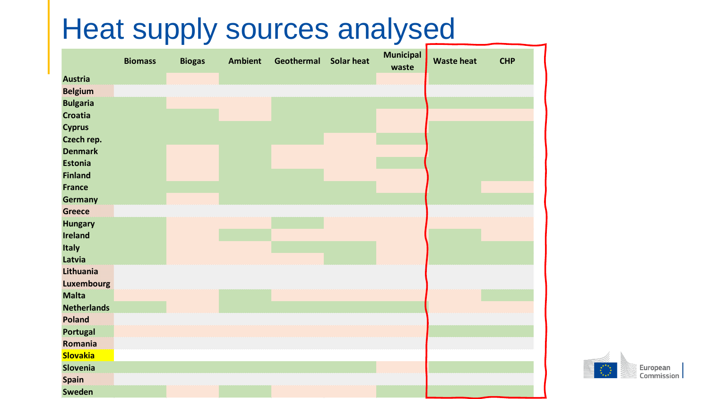#### Heat supply sources analysed

|                                 | <b>Biomass</b> | <b>Biogas</b> | <b>Ambient</b> | Geothermal | <b>Solar heat</b> | <b>Municipal</b><br>waste | <b>Waste heat</b> | <b>CHP</b> |
|---------------------------------|----------------|---------------|----------------|------------|-------------------|---------------------------|-------------------|------------|
| <b>Austria</b>                  |                |               |                |            |                   |                           |                   |            |
| <b>Belgium</b>                  |                |               |                |            |                   |                           |                   |            |
| <b>Bulgaria</b>                 |                |               |                |            |                   |                           |                   |            |
| <b>Croatia</b>                  |                |               |                |            |                   |                           |                   |            |
| <b>Cyprus</b>                   |                |               |                |            |                   |                           |                   |            |
| Czech rep.                      |                |               |                |            |                   |                           |                   |            |
| <b>Denmark</b>                  |                |               |                |            |                   |                           |                   |            |
| <b>Estonia</b>                  |                |               |                |            |                   |                           |                   |            |
| <b>Finland</b>                  |                |               |                |            |                   |                           |                   |            |
| <b>France</b>                   |                |               |                |            |                   |                           |                   |            |
| <b>Germany</b><br><b>Greece</b> |                |               |                |            |                   |                           |                   |            |
| <b>Hungary</b>                  |                |               |                |            |                   |                           |                   |            |
| <b>Ireland</b>                  |                |               |                |            |                   |                           |                   |            |
| Italy                           |                |               |                |            |                   |                           |                   |            |
| Latvia                          |                |               |                |            |                   |                           |                   |            |
| Lithuania                       |                |               |                |            |                   |                           |                   |            |
| <b>Luxembourg</b>               |                |               |                |            |                   |                           |                   |            |
| <b>Malta</b>                    |                |               |                |            |                   |                           |                   |            |
| <b>Netherlands</b>              |                |               |                |            |                   |                           |                   |            |
| <b>Poland</b>                   |                |               |                |            |                   |                           |                   |            |
| Portugal                        |                |               |                |            |                   |                           |                   |            |
| Romania                         |                |               |                |            |                   |                           |                   |            |
| <b>Slovakia</b>                 |                |               |                |            |                   |                           |                   |            |
| Slovenia                        |                |               |                |            |                   |                           |                   |            |
| <b>Spain</b>                    |                |               |                |            |                   |                           |                   |            |
| <b>Sweden</b>                   |                |               |                |            |                   |                           |                   |            |

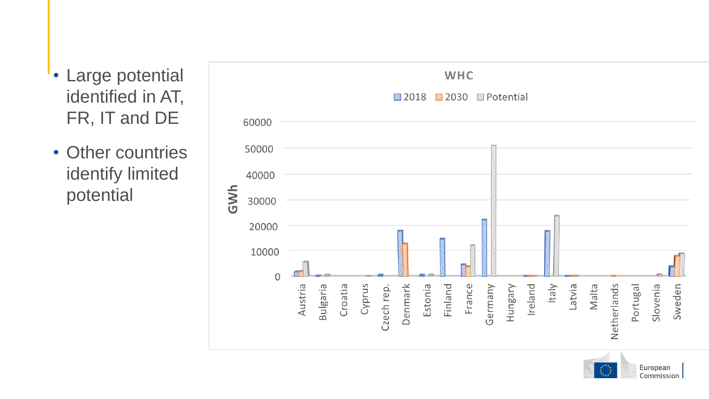- Large potential identified in AT, FR, IT and DE
- Other countries identify limited potential



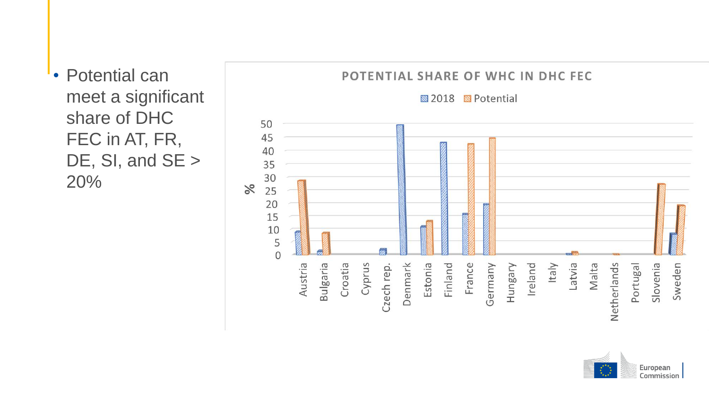• Potential can meet a significant share of DHC FEC in AT, FR, DE, SI, and SE > 20%